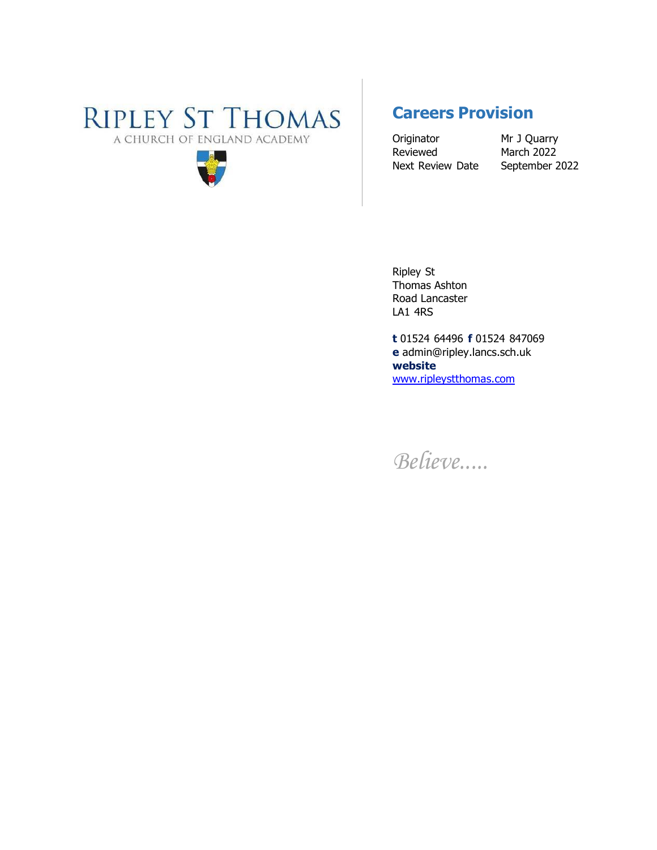# **RIPLEY ST THOMAS** A CHURCH OF ENGLAND ACADEMY



# **Careers Provision**

Originator Mr J Quarry Reviewed March 2022 Next Review Date September 2022

Ripley St Thomas Ashton Road Lancaster LA1 4RS

**t** 01524 64496 **f** 01524 847069 **e** [admin@ripley.lancs.sch.uk](mailto:admin@ripley.lancs.sch.uk)  **website** [www.ripleystthomas.com](http://www.ripleystthomas.com/)

*Believe.....*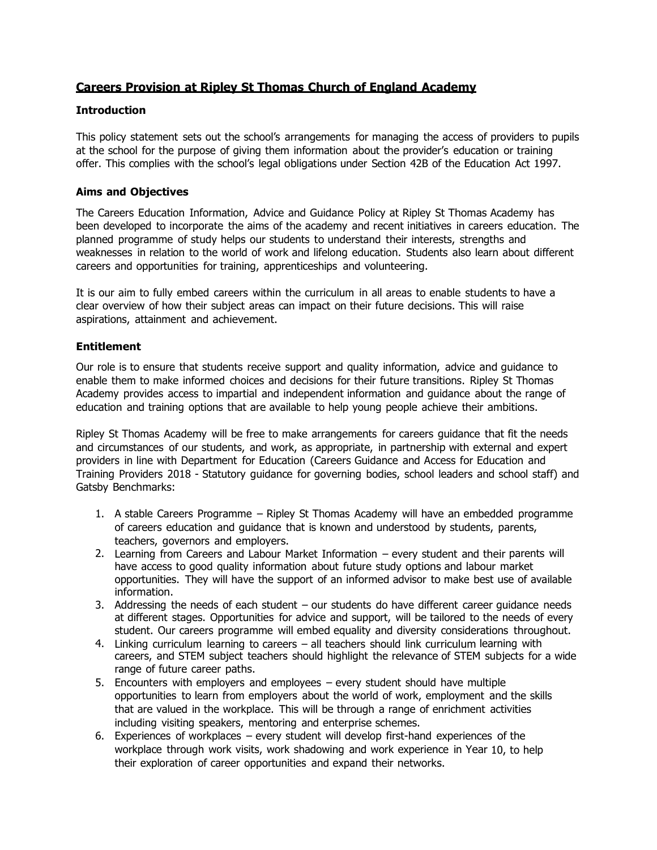# **Careers Provision at Ripley St Thomas Church of England Academy**

#### **Introduction**

This policy statement sets out the school's arrangements for managing the access of providers to pupils at the school for the purpose of giving them information about the provider's education or training offer. This complies with the school's legal obligations under Section 42B of the Education Act 1997.

### **Aims and Objectives**

The Careers Education Information, Advice and Guidance Policy at Ripley St Thomas Academy has been developed to incorporate the aims of the academy and recent initiatives in careers education. The planned programme of study helps our students to understand their interests, strengths and weaknesses in relation to the world of work and lifelong education. Students also learn about different careers and opportunities for training, apprenticeships and volunteering.

It is our aim to fully embed careers within the curriculum in all areas to enable students to have a clear overview of how their subject areas can impact on their future decisions. This will raise aspirations, attainment and achievement.

### **Entitlement**

Our role is to ensure that students receive support and quality information, advice and guidance to enable them to make informed choices and decisions for their future transitions. Ripley St Thomas Academy provides access to impartial and independent information and guidance about the range of education and training options that are available to help young people achieve their ambitions.

Ripley St Thomas Academy will be free to make arrangements for careers guidance that fit the needs and circumstances of our students, and work, as appropriate, in partnership with external and expert providers in line with Department for Education (Careers Guidance and Access for Education and Training Providers 2018 - Statutory guidance for governing bodies, school leaders and school staff) and Gatsby Benchmarks:

- 1. A stable Careers Programme Ripley St Thomas Academy will have an embedded programme of careers education and guidance that is known and understood by students, parents, teachers, governors and employers.
- 2. Learning from Careers and Labour Market Information every student and their parents will have access to good quality information about future study options and labour market opportunities. They will have the support of an informed advisor to make best use of available information.
- 3. Addressing the needs of each student our students do have different career guidance needs at different stages. Opportunities for advice and support, will be tailored to the needs of every student. Our careers programme will embed equality and diversity considerations throughout.
- 4. Linking curriculum learning to careers all teachers should link curriculum learning with careers, and STEM subject teachers should highlight the relevance of STEM subjects for a wide range of future career paths.
- 5. Encounters with employers and employees every student should have multiple opportunities to learn from employers about the world of work, employment and the skills that are valued in the workplace. This will be through a range of enrichment activities including visiting speakers, mentoring and enterprise schemes.
- 6. Experiences of workplaces every student will develop first-hand experiences of the workplace through work visits, work shadowing and work experience in Year 10, to help their exploration of career opportunities and expand their networks.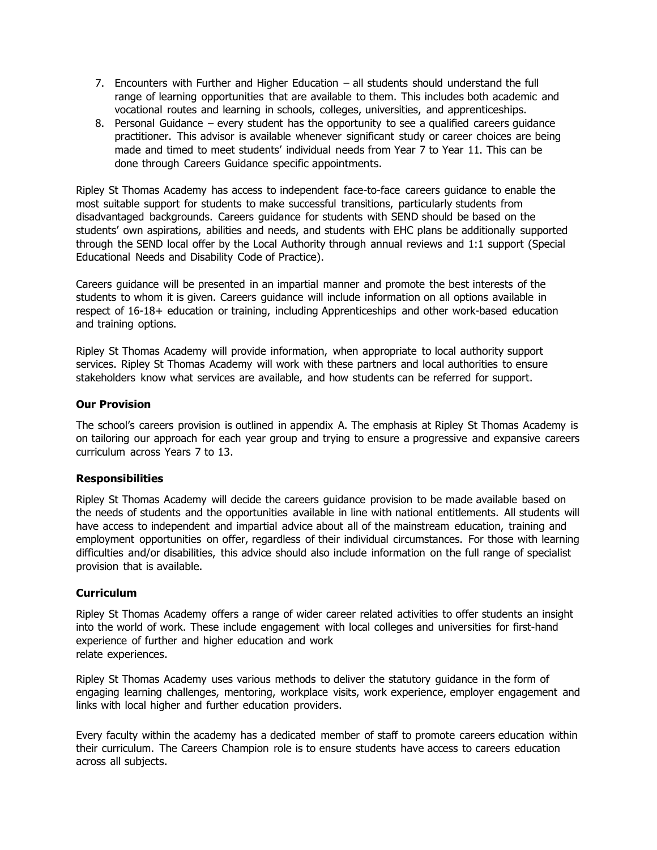- 7. Encounters with Further and Higher Education all students should understand the full range of learning opportunities that are available to them. This includes both academic and vocational routes and learning in schools, colleges, universities, and apprenticeships.
- 8. Personal Guidance every student has the opportunity to see a qualified careers guidance practitioner. This advisor is available whenever significant study or career choices are being made and timed to meet students' individual needs from Year 7 to Year 11. This can be done through Careers Guidance specific appointments.

Ripley St Thomas Academy has access to independent face-to-face careers guidance to enable the most suitable support for students to make successful transitions, particularly students from disadvantaged backgrounds. Careers guidance for students with SEND should be based on the students' own aspirations, abilities and needs, and students with EHC plans be additionally supported through the SEND local offer by the Local Authority through annual reviews and 1:1 support (Special Educational Needs and Disability Code of Practice).

Careers guidance will be presented in an impartial manner and promote the best interests of the students to whom it is given. Careers guidance will include information on all options available in respect of 16-18+ education or training, including Apprenticeships and other work-based education and training options.

Ripley St Thomas Academy will provide information, when appropriate to local authority support services. Ripley St Thomas Academy will work with these partners and local authorities to ensure stakeholders know what services are available, and how students can be referred for support.

#### **Our Provision**

The school's careers provision is outlined in appendix A. The emphasis at Ripley St Thomas Academy is on tailoring our approach for each year group and trying to ensure a progressive and expansive careers curriculum across Years 7 to 13.

#### **Responsibilities**

Ripley St Thomas Academy will decide the careers guidance provision to be made available based on the needs of students and the opportunities available in line with national entitlements. All students will have access to independent and impartial advice about all of the mainstream education, training and employment opportunities on offer, regardless of their individual circumstances. For those with learning difficulties and/or disabilities, this advice should also include information on the full range of specialist provision that is available.

#### **Curriculum**

Ripley St Thomas Academy offers a range of wider career related activities to offer students an insight into the world of work. These include engagement with local colleges and universities for first-hand experience of further and higher education and work relate experiences.

Ripley St Thomas Academy uses various methods to deliver the statutory guidance in the form of engaging learning challenges, mentoring, workplace visits, work experience, employer engagement and links with local higher and further education providers.

Every faculty within the academy has a dedicated member of staff to promote careers education within their curriculum. The Careers Champion role is to ensure students have access to careers education across all subjects.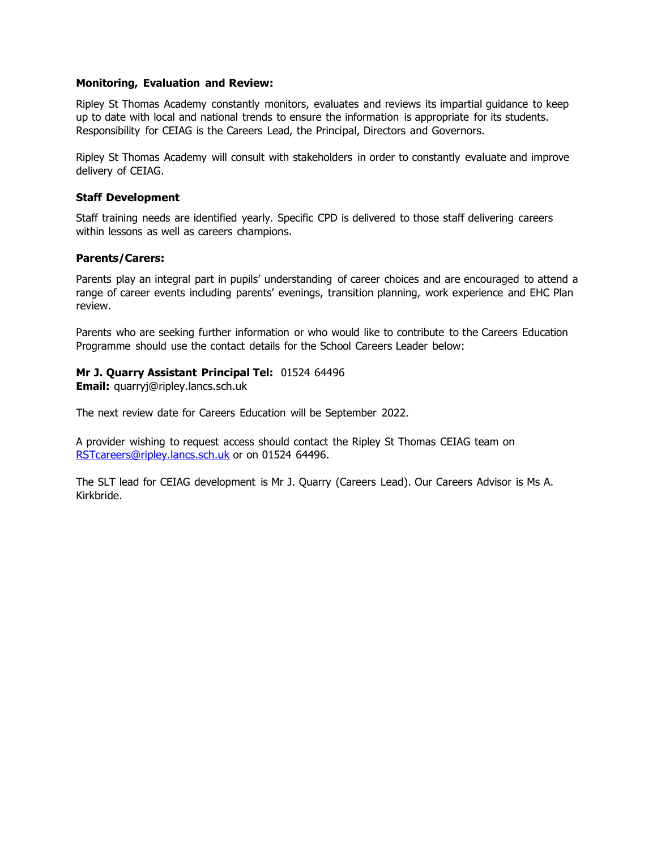#### **Monitoring, Evaluation and Review:**

Ripley St Thomas Academy constantly monitors, evaluates and reviews its impartial guidance to keep up to date with local and national trends to ensure the information is appropriate for its students. Responsibility for CEIAG is the Careers Lead, the Principal, Directors and Governors.

Ripley St Thomas Academy will consult with stakeholders in order to constantly evaluate and improve delivery of CEIAG.

#### **Staff Development**

Staff training needs are identified yearly. Specific CPD is delivered to those staff delivering careers within lessons as well as careers champions.

#### **Parents/Carers:**

Parents play an integral part in pupils' understanding of career choices and are encouraged to attend a range of career events including parents' evenings, transition planning, work experience and EHC Plan review.

Parents who are seeking further information or who would like to contribute to the Careers Education Programme should use the contact details for the School Careers Leader below:

#### **Mr J. Quarry Assistant Principal Tel:** 01524 64496

**Email:** [quarryj@ripley.lancs.sch.uk](mailto:quarryj@ripley.lancs.sch.uk)

The next review date for Careers Education will be September 2022.

A provider wishing to request access should contact the Ripley St Thomas CEIAG team on [RSTcareers@ripley.lancs.sch.uk](mailto:RSTcareers@ripley.lancs.sch.uk) or on 01524 64496.

The SLT lead for CEIAG development is Mr J. Quarry (Careers Lead). Our Careers Advisor is Ms A. Kirkbride.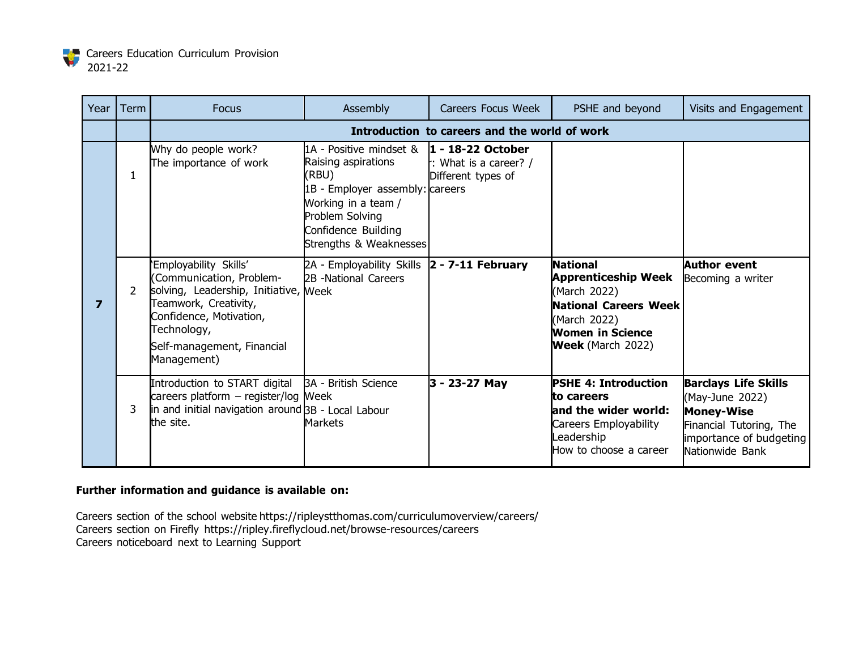

| Year | Term           | <b>Focus</b>                                                                                                                                                                                               | Assembly                                                                                                                                                                                                          | Careers Focus Week                            | PSHE and beyond                                                                                                                                               | Visits and Engagement                                                                                                                        |
|------|----------------|------------------------------------------------------------------------------------------------------------------------------------------------------------------------------------------------------------|-------------------------------------------------------------------------------------------------------------------------------------------------------------------------------------------------------------------|-----------------------------------------------|---------------------------------------------------------------------------------------------------------------------------------------------------------------|----------------------------------------------------------------------------------------------------------------------------------------------|
|      |                |                                                                                                                                                                                                            |                                                                                                                                                                                                                   | Introduction to careers and the world of work |                                                                                                                                                               |                                                                                                                                              |
|      | 1              | Why do people work?<br>The importance of work                                                                                                                                                              | 1A - Positive mindset $\&$ <b>1 - 18-22 October</b><br>Raising aspirations<br>(RBU)<br>1B - Employer assembly: careers<br>Working in a team /<br>Problem Solving<br>Confidence Building<br>Strengths & Weaknesses | : What is a career? /<br>Different types of   |                                                                                                                                                               |                                                                                                                                              |
| 7    | $\overline{2}$ | 'Employability Skills'<br>Communication, Problem-<br>solving, Leadership, Initiative, Week<br>Teamwork, Creativity,<br>Confidence, Motivation,<br>Technology,<br>Self-management, Financial<br>Management) | 2A - Employability Skills<br>2B -National Careers                                                                                                                                                                 | $2 - 7 - 11$ February                         | <b>National</b><br><b>Apprenticeship Week</b><br>(March 2022)<br><b>National Careers Week</b><br>(March 2022)<br>Women in Science<br><b>Week</b> (March 2022) | Author event<br>Becoming a writer                                                                                                            |
|      | 3              | Introduction to START digital<br>careers platform - register/log Meek<br>in and initial navigation around BB - Local Labour<br>the site.                                                                   | <b>3A - British Science</b><br>Markets                                                                                                                                                                            | 3 - 23-27 May                                 | <b>PSHE 4: Introduction</b><br>lto careers<br>land the wider world:<br>Careers Employability<br>eadership<br>How to choose a career                           | <b>Barclays Life Skills</b><br>(May-June 2022)<br><b>Money-Wise</b><br>Financial Tutoring, The<br>importance of budgeting<br>Nationwide Bank |

Careers section of the school website https://ripleystthomas.com/curriculumoverview/careers/ Careers section on Firefly https://ripley.fireflycloud.net/browse-resources/careers Careers noticeboard next to Learning Support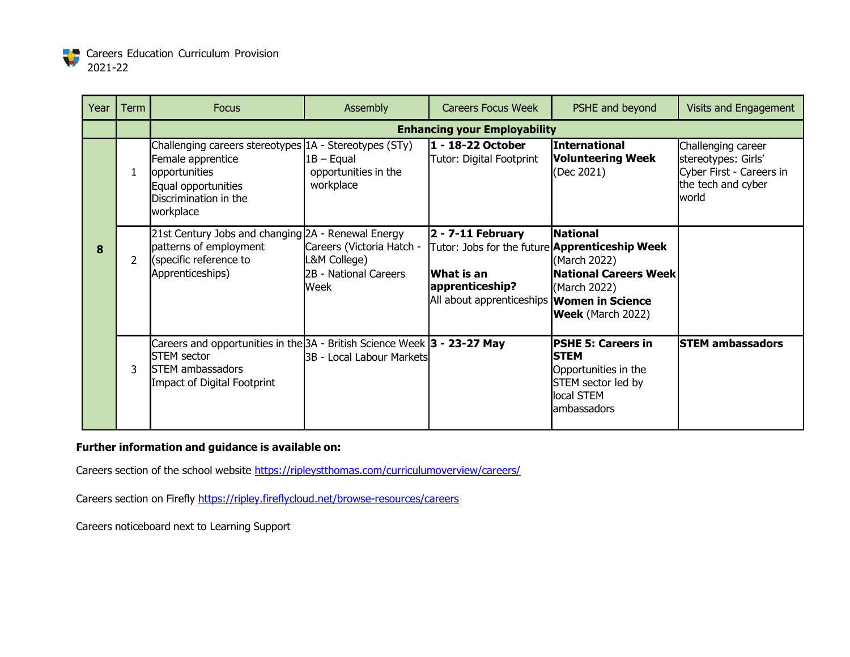

| Year | Term | <b>Focus</b>                                                                                                                                              | Assembly                                                                   | <b>Careers Focus Week</b>                                                                                                                                      | PSHE and beyond                                                                                                      | <b>Visits and Engagement</b>                                                                         |
|------|------|-----------------------------------------------------------------------------------------------------------------------------------------------------------|----------------------------------------------------------------------------|----------------------------------------------------------------------------------------------------------------------------------------------------------------|----------------------------------------------------------------------------------------------------------------------|------------------------------------------------------------------------------------------------------|
|      |      |                                                                                                                                                           |                                                                            | <b>Enhancing your Employability</b>                                                                                                                            |                                                                                                                      |                                                                                                      |
|      |      | Challenging careers stereotypes 1A - Stereotypes (STy)<br>Female apprentice<br>opportunities<br>Equal opportunities<br>Discrimination in the<br>workplace | $1B -$ Equal<br>opportunities in the<br>workplace                          | 1 - 18-22 October<br>Tutor: Digital Footprint                                                                                                                  | <b>International</b><br><b>Volunteering Week</b><br>(Dec 2021)                                                       | Challenging career<br>stereotypes: Girls'<br>Cyber First - Careers in<br>the tech and cyber<br>world |
| 8    | 2    | 21st Century Jobs and changing 2A - Renewal Energy<br>patterns of employment<br>(specific reference to<br>Apprenticeships)                                | Careers (Victoria Hatch -<br>L&M College)<br>2B - National Careers<br>Week | $2 - 7 - 11$ February<br>Tutor: Jobs for the future <b>Apprenticeship Week</b><br>lWhat is an<br>apprenticeship?<br>All about apprenticeships Women in Science | <b>National</b><br>(March 2022)<br><b>National Careers Week</b><br>(March 2022)<br><b>Week</b> (March 2022)          |                                                                                                      |
|      | 3    | Careers and opportunities in the 3A - British Science Week 3 - 23-27 May<br><b>STEM</b> sector<br><b>STEM</b> ambassadors<br>Impact of Digital Footprint  | 3B - Local Labour Markets                                                  |                                                                                                                                                                | <b>PSHE 5: Careers in</b><br><b>STEM</b><br>Opportunities in the<br>STEM sector led by<br>local STEM<br>lambassadors | <b>STEM ambassadors</b>                                                                              |

Careers section of the school website <https://ripleystthomas.com/curriculumoverview/careers/>

Careers section on Firefly <https://ripley.fireflycloud.net/browse-resources/careers>

Careers noticeboard next to Learning Support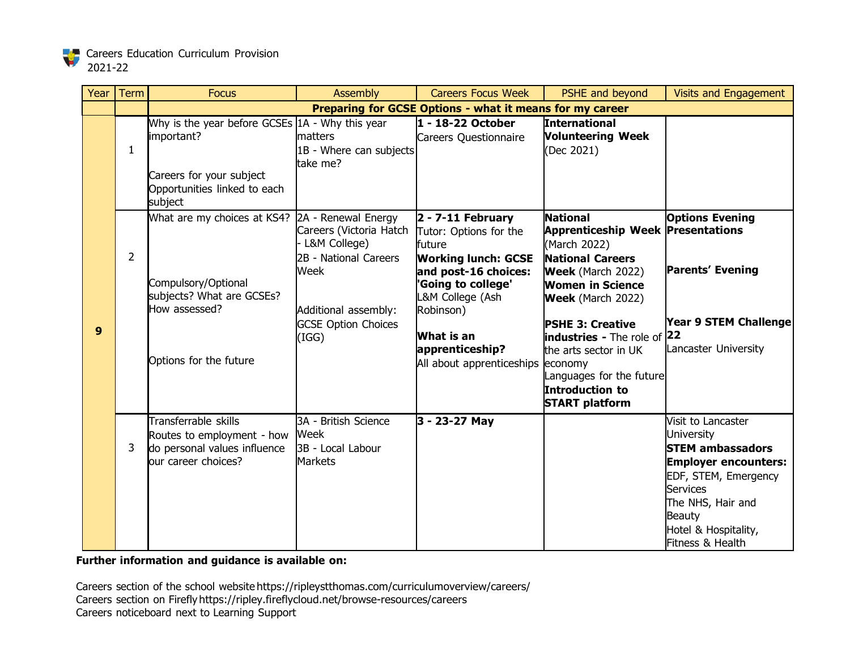

| Year | Term           | <b>Focus</b>                                                                                                                                   | <b>Assembly</b>                                                                                                                                                | <b>Careers Focus Week</b>                                                                                                                                                                                          | PSHE and beyond                                                                                                                                                                                                                                                                                                                                      | <b>Visits and Engagement</b>                                                                                                                                                                                                   |
|------|----------------|------------------------------------------------------------------------------------------------------------------------------------------------|----------------------------------------------------------------------------------------------------------------------------------------------------------------|--------------------------------------------------------------------------------------------------------------------------------------------------------------------------------------------------------------------|------------------------------------------------------------------------------------------------------------------------------------------------------------------------------------------------------------------------------------------------------------------------------------------------------------------------------------------------------|--------------------------------------------------------------------------------------------------------------------------------------------------------------------------------------------------------------------------------|
|      |                |                                                                                                                                                |                                                                                                                                                                | Preparing for GCSE Options - what it means for my career                                                                                                                                                           |                                                                                                                                                                                                                                                                                                                                                      |                                                                                                                                                                                                                                |
|      | $\mathbf{1}$   | Why is the year before GCSEs 1A - Why this year<br>important?<br>Careers for your subject<br>Opportunities linked to each<br>subject           | matters<br>1B - Where can subjects<br>take me?                                                                                                                 | 1 - 18-22 October<br>Careers Questionnaire                                                                                                                                                                         | International<br><b>Volunteering Week</b><br>(Dec 2021)                                                                                                                                                                                                                                                                                              |                                                                                                                                                                                                                                |
| 9    | $\overline{2}$ | What are my choices at KS4? 2A - Renewal Energy<br>Compulsory/Optional<br>subjects? What are GCSEs?<br>How assessed?<br>Options for the future | Careers (Victoria Hatch Tutor: Options for the<br>L&M College)<br>2B - National Careers<br>Week<br>Additional assembly:<br><b>GCSE Option Choices</b><br>(IGG) | $2 - 7 - 11$ February<br>future<br><b>Working lunch: GCSE</b><br>and post-16 choices:<br>'Going to college'<br>L&M College (Ash<br>Robinson)<br>What is an<br>apprenticeship?<br>All about apprenticeships economy | <b>National</b><br><b>Apprenticeship Week Presentations</b><br>(March 2022)<br><b>National Careers</b><br><b>Week</b> (March 2022)<br>Women in Science<br><b>Week</b> (March 2022)<br><b>PSHE 3: Creative</b><br><b>industries</b> - The role of 22<br>the arts sector in UK<br>Languages for the future<br>Introduction to<br><b>START platform</b> | <b>Options Evening</b><br><b>Parents' Evening</b><br><b>Year 9 STEM Challenge</b><br>Lancaster University                                                                                                                      |
|      | 3              | Transferrable skills<br>Routes to employment - how<br>do personal values influence<br>our career choices?                                      | 3A - British Science<br>Week<br>3B - Local Labour<br><b>Markets</b>                                                                                            | 3 - 23-27 May                                                                                                                                                                                                      |                                                                                                                                                                                                                                                                                                                                                      | Visit to Lancaster<br><b>University</b><br><b>STEM ambassadors</b><br><b>Employer encounters:</b><br>EDF, STEM, Emergency<br><b>Services</b><br>The NHS, Hair and<br><b>Beauty</b><br>Hotel & Hospitality,<br>Fitness & Health |

Careers section of the school website https://ripleystthomas.com/curriculumoverview/careers/ Careers section on Firefly https://ripley.fireflycloud.net/browse-resources/careers Careers noticeboard next to Learning Support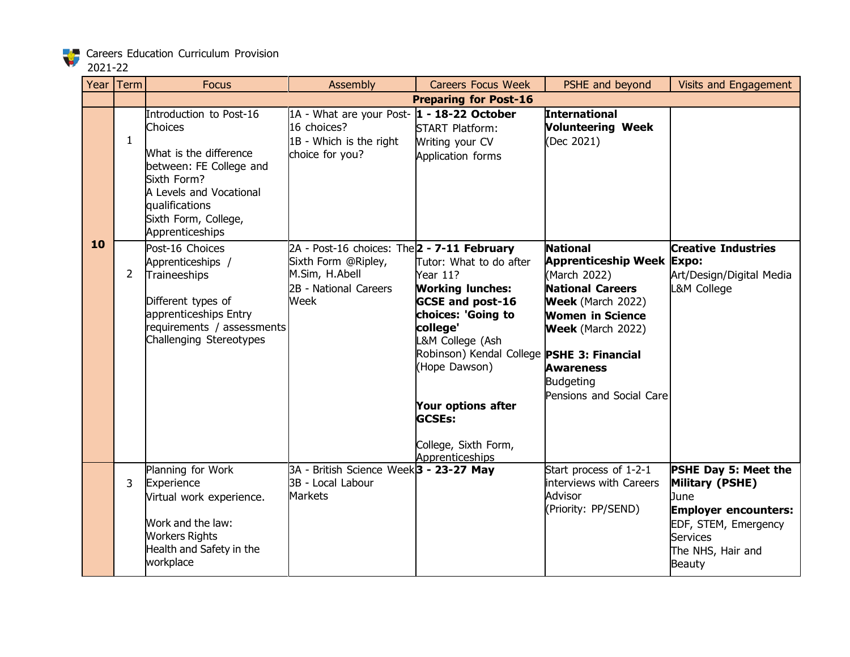# 2021-22

| Year | Term         | <b>Focus</b>                                                                                                                                                                                   | Assembly                                                                                                              | <b>Careers Focus Week</b>                                                                                                                                                                                                                                                                        | PSHE and beyond                                                                                                                                                                                                                                       | Visits and Engagement                                                                                                                                                  |
|------|--------------|------------------------------------------------------------------------------------------------------------------------------------------------------------------------------------------------|-----------------------------------------------------------------------------------------------------------------------|--------------------------------------------------------------------------------------------------------------------------------------------------------------------------------------------------------------------------------------------------------------------------------------------------|-------------------------------------------------------------------------------------------------------------------------------------------------------------------------------------------------------------------------------------------------------|------------------------------------------------------------------------------------------------------------------------------------------------------------------------|
|      |              |                                                                                                                                                                                                |                                                                                                                       | <b>Preparing for Post-16</b>                                                                                                                                                                                                                                                                     |                                                                                                                                                                                                                                                       |                                                                                                                                                                        |
|      | $\mathbf{1}$ | Introduction to Post-16<br>Choices<br>What is the difference<br>between: FE College and<br>Sixth Form?<br>A Levels and Vocational<br>qualifications<br>Sixth Form, College,<br>Apprenticeships | 1A - What are your Post- 1 - 18-22 October<br>16 choices?<br>1B - Which is the right<br>choice for you?               | <b>START Platform:</b><br>Writing your CV<br>Application forms                                                                                                                                                                                                                                   | <b>International</b><br><b>Volunteering Week</b><br>(Dec 2021)                                                                                                                                                                                        |                                                                                                                                                                        |
| 10   | $\mathbf{2}$ | Post-16 Choices<br>Apprenticeships /<br>Traineeships<br>Different types of<br>apprenticeships Entry<br>requirements / assessments<br>Challenging Stereotypes                                   | 2A - Post-16 choices: The 2 - 7-11 February<br>Sixth Form @Ripley,<br>M.Sim, H.Abell<br>2B - National Careers<br>Week | Tutor: What to do after<br>Year 11?<br><b>Working lunches:</b><br><b>GCSE and post-16</b><br>choices: 'Going to<br>college'<br>L&M College (Ash<br>Robinson) Kendal College PSHE 3: Financial<br>(Hope Dawson)<br>Your options after<br><b>GCSEs:</b><br>College, Sixth Form,<br>Apprenticeships | <b>National</b><br><b>Apprenticeship Week Expo:</b><br>(March 2022)<br><b>National Careers</b><br><b>Week</b> (March 2022)<br><b>Women in Science</b><br><b>Week</b> (March 2022)<br><b>Awareness</b><br><b>Budgeting</b><br>Pensions and Social Care | <b>Creative Industries</b><br>Art/Design/Digital Media<br>L&M College                                                                                                  |
|      | 3            | Planning for Work<br>Experience<br>Virtual work experience.<br>Work and the law:<br><b>Workers Rights</b><br>Health and Safety in the<br>workplace                                             | 3A - British Science Week <sup>3</sup> - 23-27 May<br>3B - Local Labour<br><b>Markets</b>                             |                                                                                                                                                                                                                                                                                                  | Start process of 1-2-1<br>interviews with Careers<br>Advisor<br>(Priority: PP/SEND)                                                                                                                                                                   | <b>PSHE Day 5: Meet the</b><br>Military (PSHE)<br>June<br><b>Employer encounters:</b><br>EDF, STEM, Emergency<br><b>Services</b><br>The NHS, Hair and<br><b>Beauty</b> |

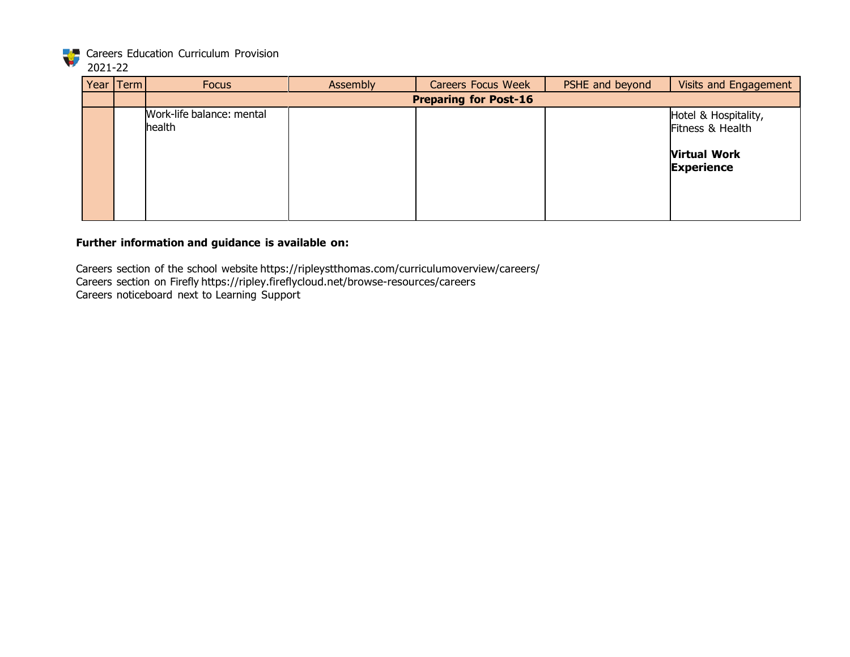

# 2021-22

| Year Term | <b>Focus</b>                        | Assembly | <b>Careers Focus Week</b>    | PSHE and beyond | Visits and Engagement                                                                |
|-----------|-------------------------------------|----------|------------------------------|-----------------|--------------------------------------------------------------------------------------|
|           |                                     |          | <b>Preparing for Post-16</b> |                 |                                                                                      |
|           | Work-life balance: mental<br>health |          |                              |                 | Hotel & Hospitality,<br>Fitness & Health<br><b>Virtual Work</b><br><b>Experience</b> |

# **Further information and guidance is available on:**

Careers section of the school website https://ripleystthomas.com/curriculumoverview/careers/ Careers section on Firefly https://ripley.fireflycloud.net/browse-resources/careers Careers noticeboard next to Learning Support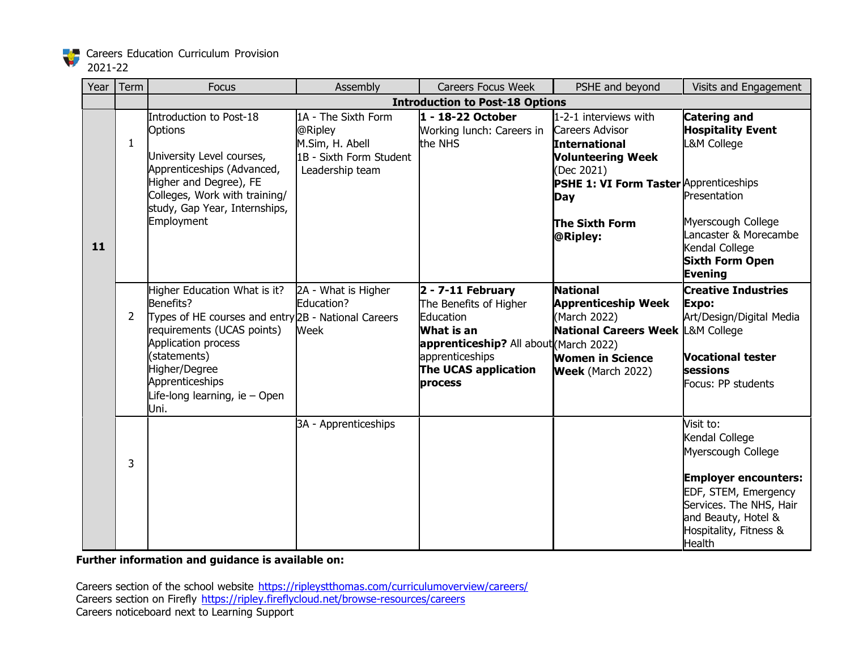

# 2021-22

| Year | Term           | <b>Focus</b>                                                                                                                                                                                                                                       | Assembly                                                                                        | <b>Careers Focus Week</b>                                                                                                                                                 | PSHE and beyond                                                                                                                                                                                  | Visits and Engagement                                                                                                                                                                                 |
|------|----------------|----------------------------------------------------------------------------------------------------------------------------------------------------------------------------------------------------------------------------------------------------|-------------------------------------------------------------------------------------------------|---------------------------------------------------------------------------------------------------------------------------------------------------------------------------|--------------------------------------------------------------------------------------------------------------------------------------------------------------------------------------------------|-------------------------------------------------------------------------------------------------------------------------------------------------------------------------------------------------------|
|      |                |                                                                                                                                                                                                                                                    |                                                                                                 | <b>Introduction to Post-18 Options</b>                                                                                                                                    |                                                                                                                                                                                                  |                                                                                                                                                                                                       |
| 11   | $\mathbf{1}$   | Introduction to Post-18<br>Options<br>University Level courses,<br>Apprenticeships (Advanced,<br>Higher and Degree), FE<br>Colleges, Work with training/<br>study, Gap Year, Internships,<br>Employment                                            | 1A - The Sixth Form<br>@Ripley<br>M.Sim, H. Abell<br>1B - Sixth Form Student<br>Leadership team | 1 - 18-22 October<br>Working lunch: Careers in<br>the NHS                                                                                                                 | 1-2-1 interviews with<br>Careers Advisor<br><b>International</b><br><b>Volunteering Week</b><br>(Dec 2021)<br><b>PSHE 1: VI Form Taster Apprenticeships</b><br>Day<br>The Sixth Form<br>@Ripley: | <b>Catering and</b><br><b>Hospitality Event</b><br>L&M College<br>Presentation<br>Myerscough College<br>Lancaster & Morecambe<br>Kendal College<br><b>Sixth Form Open</b><br><b>Evening</b>           |
|      | $\overline{2}$ | Higher Education What is it?<br>Benefits?<br>Types of HE courses and entry 2B - National Careers<br>requirements (UCAS points)<br>Application process<br>(statements)<br>Higher/Degree<br>Apprenticeships<br>Life-long learning, ie - Open<br>Uni. | 2A - What is Higher<br>Education?<br>Week                                                       | $2 - 7 - 11$ February<br>The Benefits of Higher<br>Education<br>What is an<br>apprenticeship? All about(March 2022)<br>apprenticeships<br>The UCAS application<br>process | <b>National</b><br><b>Apprenticeship Week</b><br>(March 2022)<br>National Careers Week L&M College<br><b>Women in Science</b><br><b>Week</b> (March 2022)                                        | <b>Creative Industries</b><br>Expo:<br>Art/Design/Digital Media<br><b>Vocational tester</b><br>sessions<br>Focus: PP students                                                                         |
|      | 3              |                                                                                                                                                                                                                                                    | 3A - Apprenticeships                                                                            |                                                                                                                                                                           |                                                                                                                                                                                                  | Visit to:<br>Kendal College<br>Myerscough College<br><b>Employer encounters:</b><br>EDF, STEM, Emergency<br>Services. The NHS, Hair<br>and Beauty, Hotel &<br>Hospitality, Fitness &<br><b>Health</b> |

**Further information and guidance is available on:**

Careers section of the school website <https://ripleystthomas.com/curriculumoverview/careers/> Careers section on Firefly <https://ripley.fireflycloud.net/browse-resources/careers> Careers noticeboard next to Learning Support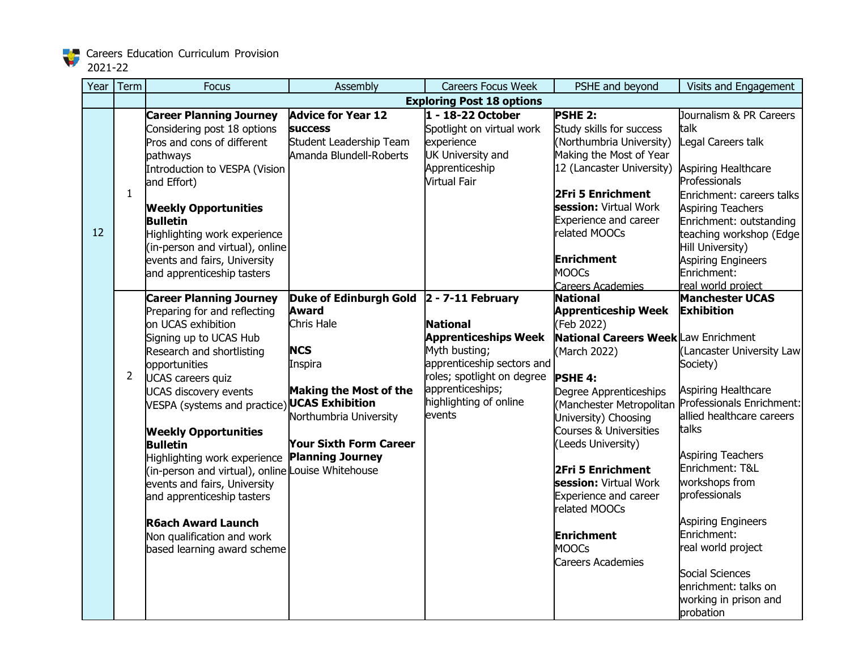

2021-22

| Year | Term           | <b>Focus</b>                                                                                                                                                                                                                                                                                                                                                                                                                                                                                                                                            | Assembly                                                                                                                                                                                                                                  | <b>Careers Focus Week</b>                                                                                                                                                           | PSHE and beyond                                                                                                                                                                                                                                                                                                                                                                                                                            | Visits and Engagement                                                                                                                                                                                                                                                                                                                                                                                              |
|------|----------------|---------------------------------------------------------------------------------------------------------------------------------------------------------------------------------------------------------------------------------------------------------------------------------------------------------------------------------------------------------------------------------------------------------------------------------------------------------------------------------------------------------------------------------------------------------|-------------------------------------------------------------------------------------------------------------------------------------------------------------------------------------------------------------------------------------------|-------------------------------------------------------------------------------------------------------------------------------------------------------------------------------------|--------------------------------------------------------------------------------------------------------------------------------------------------------------------------------------------------------------------------------------------------------------------------------------------------------------------------------------------------------------------------------------------------------------------------------------------|--------------------------------------------------------------------------------------------------------------------------------------------------------------------------------------------------------------------------------------------------------------------------------------------------------------------------------------------------------------------------------------------------------------------|
|      |                |                                                                                                                                                                                                                                                                                                                                                                                                                                                                                                                                                         |                                                                                                                                                                                                                                           | <b>Exploring Post 18 options</b>                                                                                                                                                    |                                                                                                                                                                                                                                                                                                                                                                                                                                            |                                                                                                                                                                                                                                                                                                                                                                                                                    |
| 12   | $\mathbf{1}$   | <b>Career Planning Journey</b><br>Considering post 18 options<br>Pros and cons of different<br>pathways<br>Introduction to VESPA (Vision<br>and Effort)<br><b>Weekly Opportunities</b><br><b>Bulletin</b><br>Highlighting work experience<br>(in-person and virtual), online<br>events and fairs, University<br>and apprenticeship tasters                                                                                                                                                                                                              | <b>Advice for Year 12</b><br><b>SUCCESS</b><br>Student Leadership Team<br>Amanda Blundell-Roberts                                                                                                                                         | 1 - 18-22 October<br>Spotlight on virtual work<br>experience<br><b>UK University and</b><br>Apprenticeship<br><b>Virtual Fair</b>                                                   | <b>PSHE 2:</b><br>Study skills for success<br>(Northumbria University)<br>Making the Most of Year<br>12 (Lancaster University)<br>2Fri 5 Enrichment<br>session: Virtual Work<br><b>Experience and career</b><br>related MOOCs<br><b>Enrichment</b><br><b>MOOCs</b><br><b>Careers Academies</b>                                                                                                                                             | Journalism & PR Careers<br>talk<br>Legal Careers talk<br>Aspiring Healthcare<br>Professionals<br>Enrichment: careers talks<br><b>Aspiring Teachers</b><br>Enrichment: outstanding<br>teaching workshop (Edge<br>Hill University)<br><b>Aspiring Engineers</b><br>Enrichment:<br>real world project                                                                                                                 |
|      | $\overline{2}$ | <b>Career Planning Journey</b><br>Preparing for and reflecting<br>on UCAS exhibition<br>Signing up to UCAS Hub<br>Research and shortlisting<br>opportunities<br><b>UCAS careers quiz</b><br><b>UCAS discovery events</b><br>VESPA (systems and practice)<br><b>Weekly Opportunities</b><br><b>Bulletin</b><br>Highlighting work experience<br>(in-person and virtual), online Louise Whitehouse<br>events and fairs, University<br>and apprenticeship tasters<br><b>R6ach Award Launch</b><br>Non qualification and work<br>based learning award scheme | Duke of Edinburgh Gold 2 - 7-11 February<br><b>Award</b><br>Chris Hale<br><b>NCS</b><br>Inspira<br><b>Making the Most of the</b><br><b>UCAS Exhibition</b><br>Northumbria University<br>Your Sixth Form Career<br><b>Planning Journey</b> | <b>National</b><br><b>Apprenticeships Week</b><br>Myth busting;<br>apprenticeship sectors and<br>roles; spotlight on degree<br>apprenticeships;<br>highlighting of online<br>events | <b>National</b><br><b>Apprenticeship Week</b><br>(Feb 2022)<br><b>National Careers Week Law Enrichment</b><br>(March 2022)<br><b>PSHE 4:</b><br>Degree Apprenticeships<br>(Manchester Metropolitan<br>University) Choosing<br>Courses & Universities<br>(Leeds University)<br>2Fri 5 Enrichment<br>session: Virtual Work<br><b>Experience and career</b><br>related MOOCs<br><b>Enrichment</b><br><b>MOOCs</b><br><b>Careers Academies</b> | <b>Manchester UCAS</b><br><b>Exhibition</b><br>Lancaster University Law<br>Society)<br>Aspiring Healthcare<br>Professionals Enrichment:<br>allied healthcare careers<br>talks<br><b>Aspiring Teachers</b><br>Enrichment: T&L<br>workshops from<br>professionals<br><b>Aspiring Engineers</b><br>Enrichment:<br>real world project<br>Social Sciences<br>enrichment: talks on<br>working in prison and<br>probation |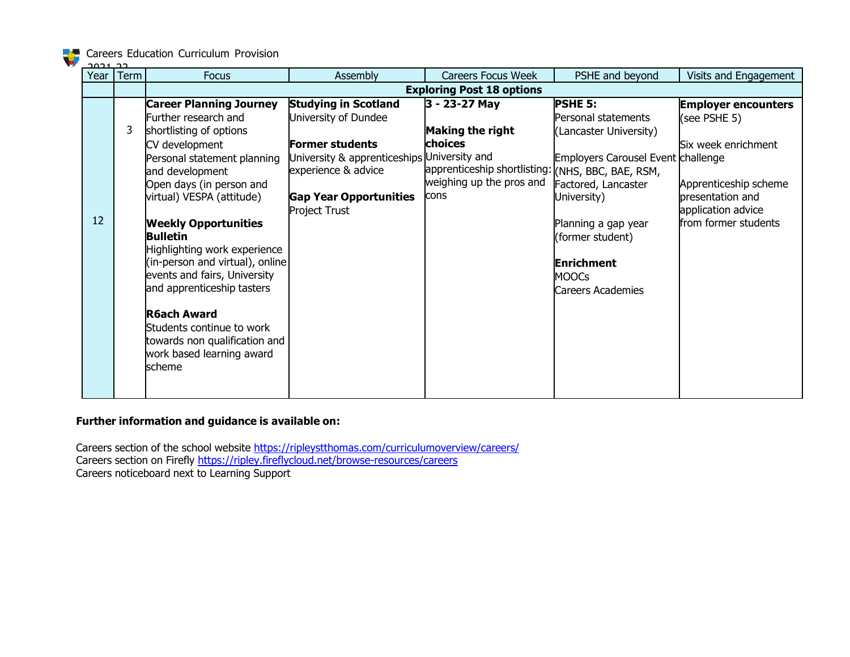| <u>רב ורחב</u> |      |                                  |                                             |                                                   |                                           |                            |  |
|----------------|------|----------------------------------|---------------------------------------------|---------------------------------------------------|-------------------------------------------|----------------------------|--|
| Year           | Term | <b>Focus</b>                     | Assembly                                    | <b>Careers Focus Week</b>                         | PSHE and beyond                           | Visits and Engagement      |  |
|                |      | <b>Exploring Post 18 options</b> |                                             |                                                   |                                           |                            |  |
|                |      | <b>Career Planning Journey</b>   | <b>Studying in Scotland</b>                 | 3 - 23-27 May                                     | <b>PSHE 5:</b>                            | <b>Employer encounters</b> |  |
|                |      | Further research and             | University of Dundee                        |                                                   | Personal statements                       | (see PSHE 5)               |  |
|                | 3    | shortlisting of options          |                                             | Making the right                                  | (Lancaster University)                    |                            |  |
|                |      | CV development                   | <b>Former students</b>                      | choices                                           |                                           | Six week enrichment        |  |
|                |      | Personal statement planning      | University & apprenticeships University and |                                                   | <b>Employers Carousel Event challenge</b> |                            |  |
|                |      | and development                  | experience & advice                         | apprenticeship shortlisting: (NHS, BBC, BAE, RSM, |                                           |                            |  |
|                |      | Open days (in person and         |                                             | weighing up the pros and                          | Factored, Lancaster                       | Apprenticeship scheme      |  |
|                |      | virtual) VESPA (attitude)        | <b>Gap Year Opportunities</b>               | cons                                              | University)                               | presentation and           |  |
|                |      |                                  | Project Trust                               |                                                   |                                           | application advice         |  |
| 12             |      | <b>Weekly Opportunities</b>      |                                             |                                                   | Planning a gap year                       | from former students       |  |
|                |      | <b>Bulletin</b>                  |                                             |                                                   | (former student)                          |                            |  |
|                |      | Highlighting work experience     |                                             |                                                   |                                           |                            |  |
|                |      | (in-person and virtual), online  |                                             |                                                   | <b>Enrichment</b>                         |                            |  |
|                |      | events and fairs, University     |                                             |                                                   | <b>MOOCs</b>                              |                            |  |
|                |      | and apprenticeship tasters       |                                             |                                                   | Careers Academies                         |                            |  |
|                |      |                                  |                                             |                                                   |                                           |                            |  |
|                |      | <b>R6ach Award</b>               |                                             |                                                   |                                           |                            |  |
|                |      | Students continue to work        |                                             |                                                   |                                           |                            |  |
|                |      | towards non qualification and    |                                             |                                                   |                                           |                            |  |
|                |      | work based learning award        |                                             |                                                   |                                           |                            |  |
|                |      | scheme                           |                                             |                                                   |                                           |                            |  |
|                |      |                                  |                                             |                                                   |                                           |                            |  |
|                |      |                                  |                                             |                                                   |                                           |                            |  |

# **Further information and guidance is available on:**

Careers section of the school website <https://ripleystthomas.com/curriculumoverview/careers/> Careers section on Firefly <https://ripley.fireflycloud.net/browse-resources/careers> Careers noticeboard next to Learning Support

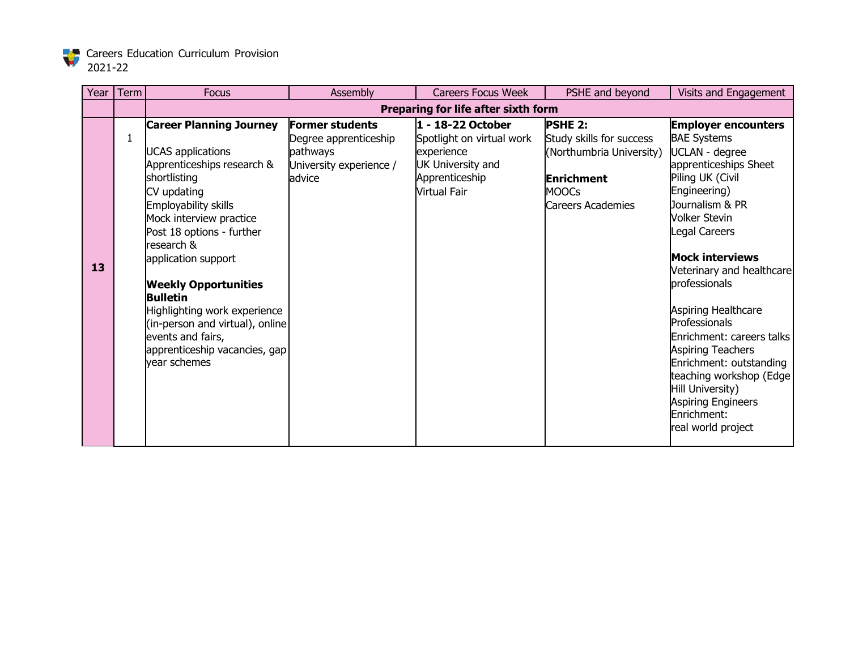

| Year | Term | <b>Focus</b>                                   | Assembly                | <b>Careers Focus Week</b>           | PSHE and beyond          | Visits and Engagement                      |
|------|------|------------------------------------------------|-------------------------|-------------------------------------|--------------------------|--------------------------------------------|
|      |      |                                                |                         | Preparing for life after sixth form |                          |                                            |
|      |      | <b>Career Planning Journey</b>                 | <b>Former students</b>  | 1 - 18-22 October                   | <b>PSHE 2:</b>           | <b>Employer encounters</b>                 |
|      | 1    |                                                | Degree apprenticeship   | Spotlight on virtual work           | Study skills for success | <b>BAE Systems</b>                         |
|      |      | <b>UCAS</b> applications                       | pathways                | experience                          | (Northumbria University) | UCLAN - degree                             |
|      |      | Apprenticeships research &                     | University experience / | <b>UK University and</b>            |                          | apprenticeships Sheet                      |
|      |      | shortlisting                                   | advice                  | Apprenticeship                      | <b>Enrichment</b>        | Piling UK (Civil                           |
|      |      | CV updating                                    |                         | <b>Virtual Fair</b>                 | <b>MOOCs</b>             | Engineering)                               |
|      |      | Employability skills                           |                         |                                     | Careers Academies        | Journalism & PR                            |
|      |      | Mock interview practice                        |                         |                                     |                          | <b>Volker Stevin</b>                       |
|      |      | Post 18 options - further                      |                         |                                     |                          | Legal Careers                              |
|      |      | research &                                     |                         |                                     |                          | <b>Mock interviews</b>                     |
| 13   |      | application support                            |                         |                                     |                          |                                            |
|      |      |                                                |                         |                                     |                          | Veterinary and healthcare<br>professionals |
|      |      | <b>Weekly Opportunities</b><br><b>Bulletin</b> |                         |                                     |                          |                                            |
|      |      | Highlighting work experience                   |                         |                                     |                          | Aspiring Healthcare                        |
|      |      | (in-person and virtual), online                |                         |                                     |                          | Professionals                              |
|      |      | events and fairs,                              |                         |                                     |                          | Enrichment: careers talks                  |
|      |      | apprenticeship vacancies, gap                  |                         |                                     |                          | <b>Aspiring Teachers</b>                   |
|      |      | vear schemes                                   |                         |                                     |                          | Enrichment: outstanding                    |
|      |      |                                                |                         |                                     |                          | teaching workshop (Edge                    |
|      |      |                                                |                         |                                     |                          | Hill University)                           |
|      |      |                                                |                         |                                     |                          | Aspiring Engineers                         |
|      |      |                                                |                         |                                     |                          | Enrichment:                                |
|      |      |                                                |                         |                                     |                          | real world project                         |
|      |      |                                                |                         |                                     |                          |                                            |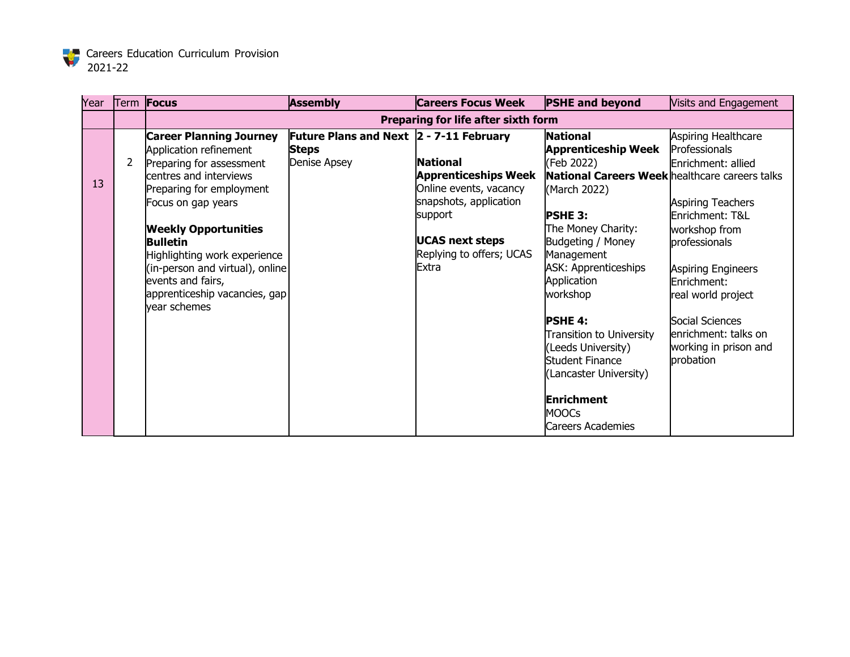

| Year |   | Term <b>Focus</b>               | <b>Assembly</b>                         | <b>Careers Focus Week</b>           | <b>PSHE and beyond</b>                         | Visits and Engagement     |
|------|---|---------------------------------|-----------------------------------------|-------------------------------------|------------------------------------------------|---------------------------|
|      |   |                                 |                                         | Preparing for life after sixth form |                                                |                           |
|      |   | <b>Career Planning Journey</b>  | Future Plans and Next 2 - 7-11 February |                                     | <b>National</b>                                | Aspiring Healthcare       |
|      |   | Application refinement          | <b>Steps</b>                            |                                     | <b>Apprenticeship Week</b>                     | Professionals             |
|      | 2 | Preparing for assessment        | Denise Apsey                            | <b>National</b>                     | (Feb 2022)                                     | Enrichment: allied        |
|      |   | centres and interviews          |                                         | <b>Apprenticeships Week</b>         | National Careers Week healthcare careers talks |                           |
| 13   |   | Preparing for employment        |                                         | Online events, vacancy              | (March 2022)                                   |                           |
|      |   | Focus on gap years              |                                         | snapshots, application              |                                                | <b>Aspiring Teachers</b>  |
|      |   |                                 |                                         | support                             | <b>PSHE 3:</b>                                 | Enrichment: T&L           |
|      |   | <b>Weekly Opportunities</b>     |                                         |                                     | The Money Charity:                             | workshop from             |
|      |   | <b>Bulletin</b>                 |                                         | <b>UCAS next steps</b>              | Budgeting / Money                              | professionals             |
|      |   | Highlighting work experience    |                                         | Replying to offers; UCAS            | Management                                     |                           |
|      |   | (in-person and virtual), online |                                         | <b>Extra</b>                        | <b>ASK: Apprenticeships</b>                    | <b>Aspiring Engineers</b> |
|      |   | events and fairs,               |                                         |                                     | Application                                    | Enrichment:               |
|      |   | apprenticeship vacancies, gap   |                                         |                                     | workshop                                       | real world project        |
|      |   | vear schemes                    |                                         |                                     |                                                |                           |
|      |   |                                 |                                         |                                     | <b>PSHE 4:</b>                                 | Social Sciences           |
|      |   |                                 |                                         |                                     | Transition to University                       | enrichment: talks on      |
|      |   |                                 |                                         |                                     | (Leeds University)                             | working in prison and     |
|      |   |                                 |                                         |                                     | <b>Student Finance</b>                         | probation                 |
|      |   |                                 |                                         |                                     | (Lancaster University)                         |                           |
|      |   |                                 |                                         |                                     |                                                |                           |
|      |   |                                 |                                         |                                     | <b>Enrichment</b>                              |                           |
|      |   |                                 |                                         |                                     | <b>MOOCs</b>                                   |                           |
|      |   |                                 |                                         |                                     | Careers Academies                              |                           |